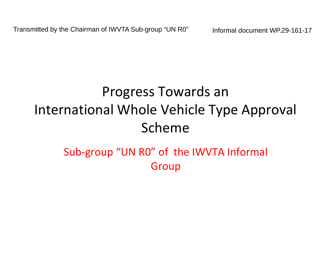# Progress Towards an International Whole Vehicle Type Approval Scheme

# Sub‐group "UN R0" of the IWVTA Informal Group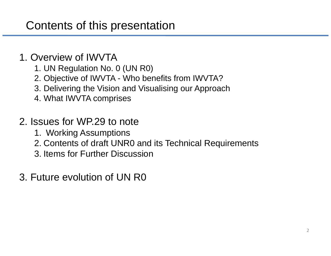### Contents of this presentation

#### 1. Overview of IWVTA

- 1. UN Regulation No. 0 (UN R0)
- 2. Objective of IWVTA Who benefits from IWVTA?
- 3. Delivering the Vision and Visualising our Approach
- 4. What IWVTA comprises

#### 2. Issues for WP.29 to note

- 1. Working Assumptions
- 2. Contents of draft UNR0 and its Technical Requirements
- 3. Items for Further Discussion
- 3. Future evolution of UN R0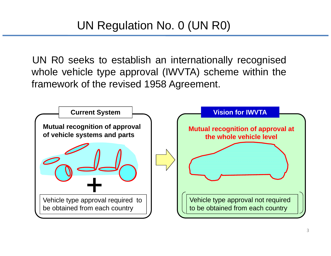UN R0 seeks to establish an internationally recognised whole vehicle type approval (IWVTA) scheme within the framework of the revised 1958 Agreement.

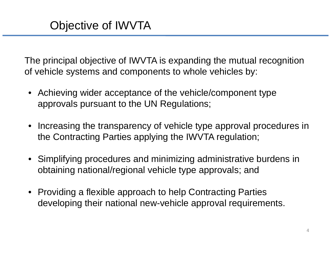The principal objective of IWVTA is expanding the mutual recognition of vehicle systems and components to whole vehicles by:

- Achieving wider acceptance of the vehicle/component type approvals pursuant to the UN Regulations;
- Increasing the transparency of vehicle type approval procedures in the Contracting Parties applying the IWVTA regulation;
- Simplifying procedures and minimizing administrative burdens in obtaining national/regional vehicle type approvals; and
- Providing a flexible approach to help Contracting Parties developing their national new-vehicle approval requirements.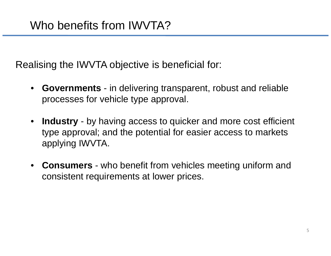Realising the IWVTA objective is beneficial for:

- • **Governments** - in delivering transparent, robust and reliable processes for vehicle type approval.
- **Industry** by having access to quicker and more cost efficient type approval; and the potential for easier access to markets applying IWVTA.
- • **Consumers** - who benefit from vehicles meeting uniform and consistent requirements at lower prices.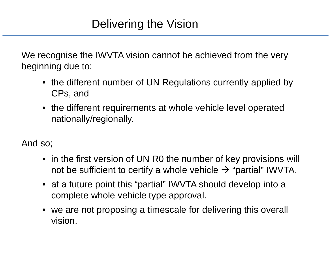We recognise the IWVTA vision cannot be achieved from the very beginning due to:

- the different number of UN Regulations currently applied by CPs, and
- the different requirements at whole vehicle level operated nationally/regionally.

And so;

- in the first version of UN R0 the number of key provisions will not be sufficient to certify a whole vehicle  $\rightarrow$  "partial" IWVTA.
- at a future point this "partial" IWVTA should develop into a complete whole vehicle type approval.
- • we are not proposing a timescale for delivering this overall vision.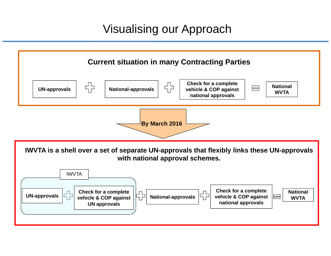### Visualising our Approach

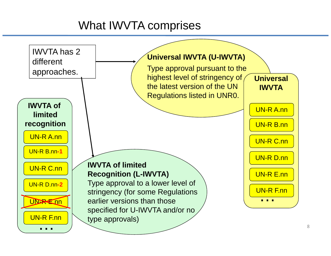# What IWVTA comprises

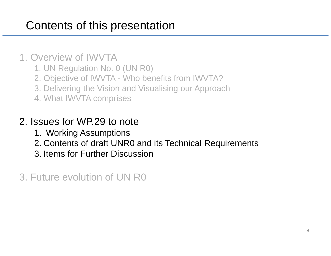# Contents of this presentation

#### 1. Overview of IWVTA

- 1. UN Regulation No. 0 (UN R0)
- 2. Objective of IWVTA Who benefits from IWVTA?
- 3. Delivering the Vision and Visualising our Approach
- 4. What IWVTA comprises

#### 2. Issues for WP.29 to note

- 1. Working Assumptions
- 2. Contents of draft UNR0 and its Technical Requirements
- 3. Items for Further Discussion

3. Future evolution of UN R0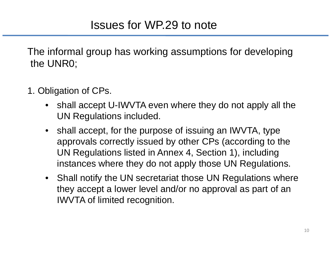The informal group has working assumptions for developing the UNR0;

- 1. Obligation of CPs.
	- $\bullet$  shall accept U-IWVTA even where they do not apply all the UN Regulations included.
	- $\bullet$  shall accept, for the purpose of issuing an IWVTA, type approvals correctly issued by other CPs (according to the UN Regulations listed in Annex 4, Section 1), including instances where they do not apply those UN Regulations.
	- $\bullet$  Shall notify the UN secretariat those UN Regulations where they accept a lower level and/or no approval as part of an IWVTA of limited recognition.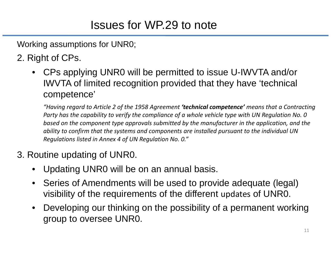Working assumptions for UNR0;

2. Right of CPs.

 $\bullet$  CPs applying UNR0 will be permitted to issue U-IWVTA and/or IWVTA of limited recognition provided that they have 'technical competence'

*"Having regard to Article 2 of the 1958 Agreement 'technical competence' means that <sup>a</sup> Contracting* Party has the capability to verify the compliance of a whole vehicle type with UN Regulation No. 0 *based on the component type approvals submitted by the manufacturer in the application, and the ability to confirm that the systems and components are installed pursuant to the individual UN Regulations listed in Annex 4 of UN Regulation No. 0."*

#### 3. Routine updating of UNR0.

- •Updating UNR0 will be on an annual basis.
- $\bullet$  Series of Amendments will be used to provide adequate (legal) visibility of the requirements of the different updates of UNR0.
- $\bullet$  Developing our thinking on the possibility of a permanent working group to oversee UNR0.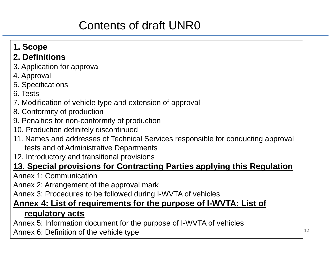# Contents of draft UNR0

#### **1. Scope**

#### **2. Definitions**

- 3. Application for approval
- 4. Approval
- 5. Specifications
- 6. Tests
- 7. Modification of vehicle type and extension of approval
- 8. Conformity of production
- 9. Penalties for non-conformity of production
- 10. Production definitely discontinued
- 11. Names and addresses of Technical Services responsible for conducting approval tests and of Administrative Departments
- 12. Introductory and transitional provisions

#### **13. Special provisions for Contracting Parties applying this Regulation**

Annex 1: Communication

Annex 2: Arrangement of the approval mark

Annex 3: Procedures to be followed during I-WVTA of vehicles

#### **Annex 4: List of requirements for the purpose of I-WVTA: List of regulatory acts**

Annex 5: Information document for the purpose of I-WVTA of vehicles Annex 6: Definition of the vehicle type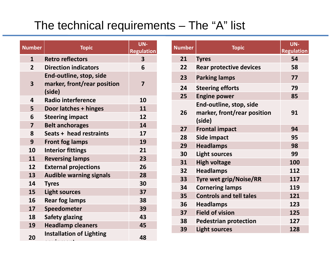### The technical requirements – The "A" list

| <b>Number</b>           | <b>Topic</b>                                                     | UN-<br><b>Regulation</b> |
|-------------------------|------------------------------------------------------------------|--------------------------|
| $\overline{\mathbf{1}}$ | <b>Retro reflectors</b>                                          | $\overline{\mathbf{3}}$  |
| $\overline{2}$          | <b>Direction indicators</b>                                      | 6                        |
| 3                       | End-outline, stop, side<br>marker, front/rear position<br>(side) | $\overline{\mathbf{z}}$  |
| 4                       | <b>Radio interference</b>                                        | 10                       |
| 5                       | Door latches + hinges                                            | 11                       |
| 6                       | <b>Steering impact</b>                                           | 12                       |
| $\overline{\mathbf{z}}$ | <b>Belt anchorages</b>                                           | 14                       |
| 8                       | Seats + head restraints                                          | 17                       |
| 9                       | <b>Front fog lamps</b>                                           | 19                       |
| 10                      | <b>Interior fittings</b>                                         | 21                       |
| 11                      | <b>Reversing lamps</b>                                           | 23                       |
| 12                      | <b>External projections</b>                                      | 26                       |
| 13                      | <b>Audible warning signals</b>                                   | 28                       |
| 14                      | <b>Tyres</b>                                                     | 30                       |
| 15                      | <b>Light sources</b>                                             | 37                       |
| 16                      | <b>Rear fog lamps</b>                                            | 38                       |
| 17                      | <b>Speedometer</b>                                               | 39                       |
| 18                      | <b>Safety glazing</b>                                            | 43                       |
| 19                      | <b>Headlamp cleaners</b>                                         | 45                       |
| 20                      | <b>Installation of Lighting</b>                                  | 48                       |

| <b>Number</b> | <b>Topic</b>                                                     | UN-<br><b>Regulation</b> |
|---------------|------------------------------------------------------------------|--------------------------|
| 21            | <b>Tyres</b>                                                     | 54                       |
| 22            | <b>Rear protective devices</b>                                   | 58                       |
| 23            | <b>Parking lamps</b>                                             | 77                       |
| 24            | <b>Steering efforts</b>                                          | 79                       |
| 25            | <b>Engine power</b>                                              | 85                       |
| 26            | End-outline, stop, side<br>marker, front/rear position<br>(side) | 91                       |
| 27            | <b>Frontal impact</b>                                            | 94                       |
| 28            | Side impact                                                      | 95                       |
| 29            | <b>Headlamps</b>                                                 | 98                       |
| 30            | <b>Light sources</b>                                             | 99                       |
| 31            | <b>High voltage</b>                                              | 100                      |
| 32            | <b>Headlamps</b>                                                 | 112                      |
| 33            | <b>Tyre wet grip/Noise/RR</b>                                    | 117                      |
| 34            | <b>Cornering lamps</b>                                           | 119                      |
| 35            | <b>Controls and tell tales</b>                                   | 121                      |
| 36            | <b>Headlamps</b>                                                 | 123                      |
| 37            | <b>Field of vision</b>                                           | 125                      |
| 38            | <b>Pedestrian protection</b>                                     | 127                      |
| 39            | <b>Light sources</b>                                             | 128                      |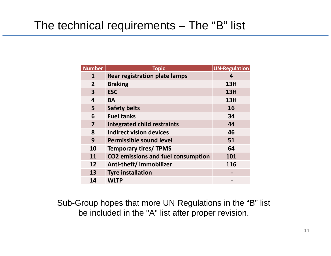### The technical requirements – The "B" list

| <b>Number</b>           | <b>Topic</b>                              | <b>UN-Regulation</b> |
|-------------------------|-------------------------------------------|----------------------|
| $\mathbf{1}$            | <b>Rear registration plate lamps</b>      | 4                    |
| $\overline{2}$          | <b>Braking</b>                            | 13H                  |
| $\overline{\mathbf{3}}$ | <b>ESC</b>                                | 13H                  |
| 4                       | <b>BA</b>                                 | 13H                  |
| 5                       | <b>Safety belts</b>                       | 16                   |
| 6                       | <b>Fuel tanks</b>                         | 34                   |
| $\overline{\mathbf{z}}$ | <b>Integrated child restraints</b>        | 44                   |
| 8                       | <b>Indirect vision devices</b>            | 46                   |
| 9                       | Permissible sound level                   | 51                   |
| 10                      | <b>Temporary tires/ TPMS</b>              | 64                   |
| 11                      | <b>CO2 emissions and fuel consumption</b> | 101                  |
| 12                      | Anti-theft/immobilizer                    | 116                  |
| 13                      | <b>Tyre installation</b>                  |                      |
| 14                      | <b>WLTP</b>                               |                      |

Sub-Group hopes that more UN Regulations in the "B" list be included in the "A" list after proper revision.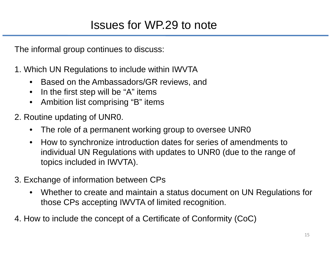The informal group continues to discuss:

- 1. Which UN Regulations to include within IWVTA
	- $\bullet$ Based on the Ambassadors/GR reviews, and
	- •In the first step will be "A" items
	- •Ambition list comprising "B" items
- 2. Routine updating of UNR0.
	- •The role of a permanent working group to oversee UNR0
	- • How to synchronize introduction dates for series of amendments to individual UN Regulations with updates to UNR0 (due to the range of topics included in IWVTA).
- 3. Exchange of information between CPs
	- • Whether to create and maintain a status document on UN Regulations for those CPs accepting IWVTA of limited recognition.
- 4. How to include the concept of a Certificate of Conformity (CoC)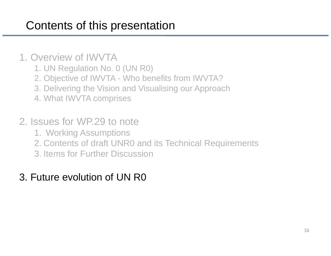# Contents of this presentation

#### 1. Overview of IWVTA

- 1. UN Regulation No. 0 (UN R0)
- 2. Objective of IWVTA Who benefits from IWVTA?
- 3. Delivering the Vision and Visualising our Approach
- 4. What IWVTA comprises

#### 2. Issues for WP.29 to note

- 1. Working Assumptions
- 2. Contents of draft UNR0 and its Technical Requirements
- 3. Items for Further Discussion

### 3. Future evolution of UN R0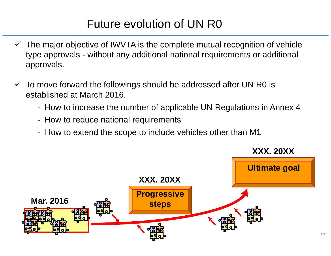# Future evolution of UN R0

- $\checkmark$  The major objective of IWVTA is the complete mutual recognition of vehicle type approvals - without any additional national requirements or additional approvals.
- $\checkmark$  To move forward the followings should be addressed after UN R0 is established at March 2016.
	- How to increase the number of applicable UN Regulations in Annex 4
	- How to reduce national requirements
	- How to extend the scope to include vehicles other than M1

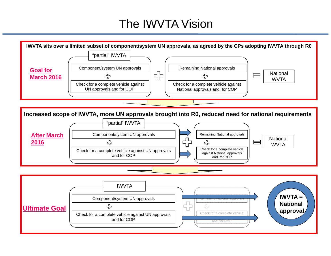### The IWVTA Vision

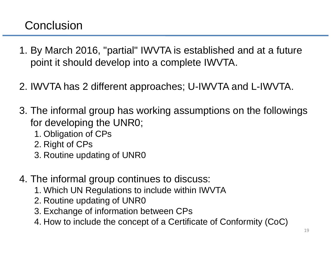### **Conclusion**

- 1. By March 2016, "partial" IWVTA is established and at a future point it should develop into a complete IWVTA.
- 2. IWVTA has 2 different approaches; U-IWVTA and L-IWVTA.
- 3. The informal group has working assumptions on the followings for developing the UNR0;
	- 1. Obligation of CPs
	- 2. Right of CPs
	- 3. Routine updating of UNR0
- 4. The informal group continues to discuss:
	- 1. Which UN Regulations to include within IWVTA
	- 2. Routine updating of UNR0
	- 3. Exchange of information between CPs
	- 4. How to include the concept of a Certificate of Conformity (CoC)